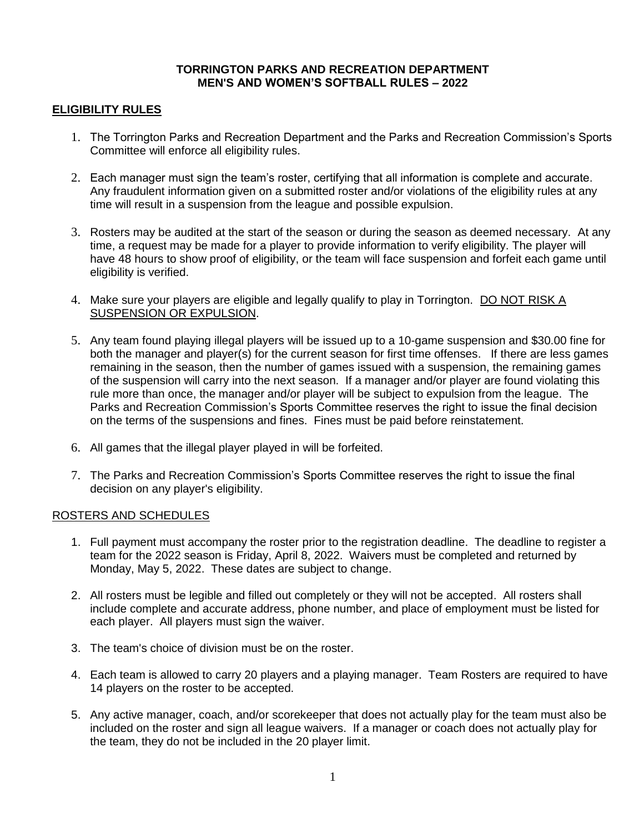#### **TORRINGTON PARKS AND RECREATION DEPARTMENT MEN'S AND WOMEN'S SOFTBALL RULES – 2022**

## **ELIGIBILITY RULES**

- 1. The Torrington Parks and Recreation Department and the Parks and Recreation Commission's Sports Committee will enforce all eligibility rules.
- 2. Each manager must sign the team's roster, certifying that all information is complete and accurate. Any fraudulent information given on a submitted roster and/or violations of the eligibility rules at any time will result in a suspension from the league and possible expulsion.
- 3. Rosters may be audited at the start of the season or during the season as deemed necessary. At any time, a request may be made for a player to provide information to verify eligibility. The player will have 48 hours to show proof of eligibility, or the team will face suspension and forfeit each game until eligibility is verified.
- 4. Make sure your players are eligible and legally qualify to play in Torrington. DO NOT RISK A SUSPENSION OR EXPULSION.
- 5. Any team found playing illegal players will be issued up to a 10-game suspension and \$30.00 fine for both the manager and player(s) for the current season for first time offenses. If there are less games remaining in the season, then the number of games issued with a suspension, the remaining games of the suspension will carry into the next season. If a manager and/or player are found violating this rule more than once, the manager and/or player will be subject to expulsion from the league. The Parks and Recreation Commission's Sports Committee reserves the right to issue the final decision on the terms of the suspensions and fines. Fines must be paid before reinstatement.
- 6. All games that the illegal player played in will be forfeited.
- 7. The Parks and Recreation Commission's Sports Committee reserves the right to issue the final decision on any player's eligibility.

### ROSTERS AND SCHEDULES

- 1. Full payment must accompany the roster prior to the registration deadline. The deadline to register a team for the 2022 season is Friday, April 8, 2022. Waivers must be completed and returned by Monday, May 5, 2022. These dates are subject to change.
- 2. All rosters must be legible and filled out completely or they will not be accepted. All rosters shall include complete and accurate address, phone number, and place of employment must be listed for each player. All players must sign the waiver.
- 3. The team's choice of division must be on the roster.
- 4. Each team is allowed to carry 20 players and a playing manager. Team Rosters are required to have 14 players on the roster to be accepted.
- 5. Any active manager, coach, and/or scorekeeper that does not actually play for the team must also be included on the roster and sign all league waivers. If a manager or coach does not actually play for the team, they do not be included in the 20 player limit.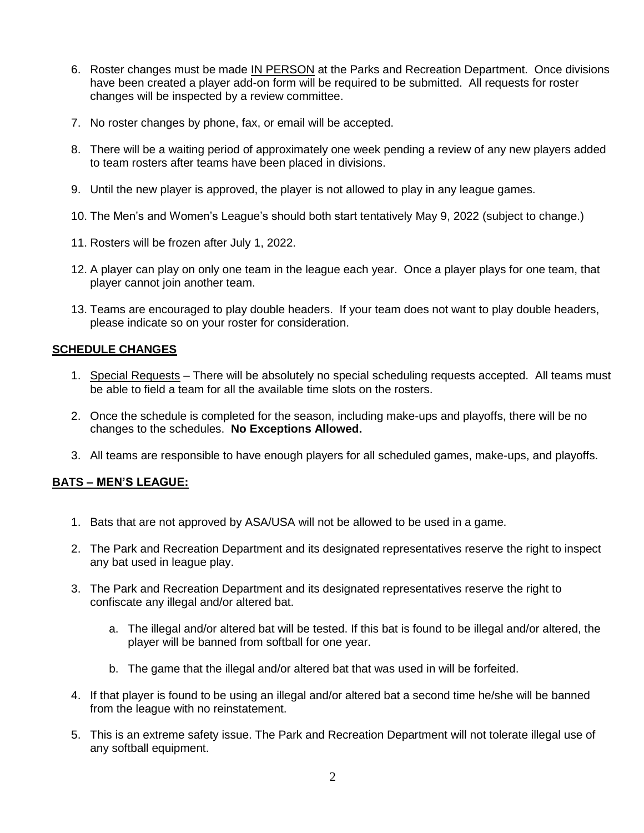- 6. Roster changes must be made IN PERSON at the Parks and Recreation Department. Once divisions have been created a player add-on form will be required to be submitted. All requests for roster changes will be inspected by a review committee.
- 7. No roster changes by phone, fax, or email will be accepted.
- 8. There will be a waiting period of approximately one week pending a review of any new players added to team rosters after teams have been placed in divisions.
- 9. Until the new player is approved, the player is not allowed to play in any league games.
- 10. The Men's and Women's League's should both start tentatively May 9, 2022 (subject to change.)
- 11. Rosters will be frozen after July 1, 2022.
- 12. A player can play on only one team in the league each year. Once a player plays for one team, that player cannot join another team.
- 13. Teams are encouraged to play double headers. If your team does not want to play double headers, please indicate so on your roster for consideration.

### **SCHEDULE CHANGES**

- 1. Special Requests There will be absolutely no special scheduling requests accepted. All teams must be able to field a team for all the available time slots on the rosters.
- 2. Once the schedule is completed for the season, including make-ups and playoffs, there will be no changes to the schedules. **No Exceptions Allowed.**
- 3. All teams are responsible to have enough players for all scheduled games, make-ups, and playoffs.

### **BATS – MEN'S LEAGUE:**

- 1. Bats that are not approved by ASA/USA will not be allowed to be used in a game.
- 2. The Park and Recreation Department and its designated representatives reserve the right to inspect any bat used in league play.
- 3. The Park and Recreation Department and its designated representatives reserve the right to confiscate any illegal and/or altered bat.
	- a. The illegal and/or altered bat will be tested. If this bat is found to be illegal and/or altered, the player will be banned from softball for one year.
	- b. The game that the illegal and/or altered bat that was used in will be forfeited.
- 4. If that player is found to be using an illegal and/or altered bat a second time he/she will be banned from the league with no reinstatement.
- 5. This is an extreme safety issue. The Park and Recreation Department will not tolerate illegal use of any softball equipment.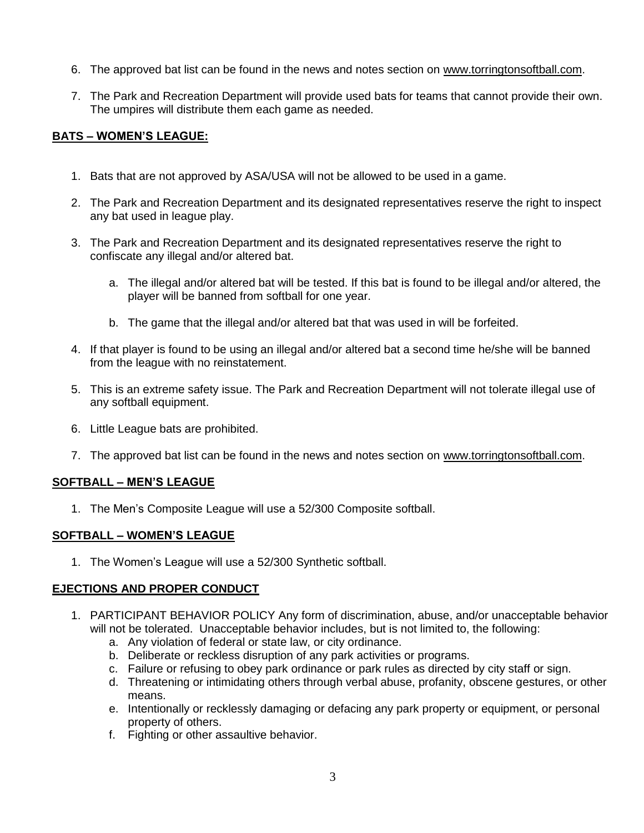- 6. The approved bat list can be found in the news and notes section on [www.torringtonsoftball.com.](http://www.torringtonsoftball.com/)
- 7. The Park and Recreation Department will provide used bats for teams that cannot provide their own. The umpires will distribute them each game as needed.

# **BATS – WOMEN'S LEAGUE:**

- 1. Bats that are not approved by ASA/USA will not be allowed to be used in a game.
- 2. The Park and Recreation Department and its designated representatives reserve the right to inspect any bat used in league play.
- 3. The Park and Recreation Department and its designated representatives reserve the right to confiscate any illegal and/or altered bat.
	- a. The illegal and/or altered bat will be tested. If this bat is found to be illegal and/or altered, the player will be banned from softball for one year.
	- b. The game that the illegal and/or altered bat that was used in will be forfeited.
- 4. If that player is found to be using an illegal and/or altered bat a second time he/she will be banned from the league with no reinstatement.
- 5. This is an extreme safety issue. The Park and Recreation Department will not tolerate illegal use of any softball equipment.
- 6. Little League bats are prohibited.
- 7. The approved bat list can be found in the news and notes section on [www.torringtonsoftball.com.](http://www.torringtonsoftball.com/)

# **SOFTBALL – MEN'S LEAGUE**

1. The Men's Composite League will use a 52/300 Composite softball.

### **SOFTBALL – WOMEN'S LEAGUE**

1. The Women's League will use a 52/300 Synthetic softball.

### **EJECTIONS AND PROPER CONDUCT**

- 1. PARTICIPANT BEHAVIOR POLICY Any form of discrimination, abuse, and/or unacceptable behavior will not be tolerated. Unacceptable behavior includes, but is not limited to, the following:
	- a. Any violation of federal or state law, or city ordinance.
	- b. Deliberate or reckless disruption of any park activities or programs.
	- c. Failure or refusing to obey park ordinance or park rules as directed by city staff or sign.
	- d. Threatening or intimidating others through verbal abuse, profanity, obscene gestures, or other means.
	- e. Intentionally or recklessly damaging or defacing any park property or equipment, or personal property of others.
	- f. Fighting or other assaultive behavior.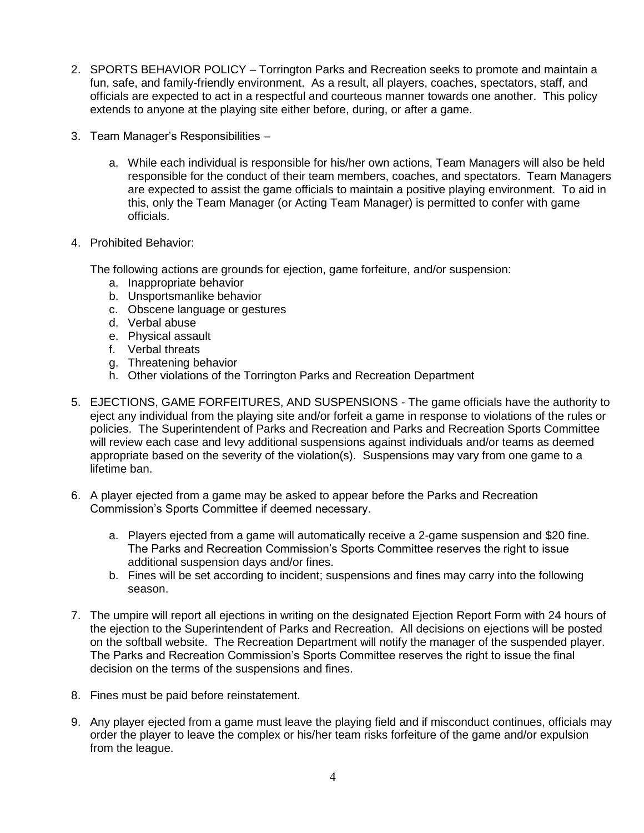- 2. SPORTS BEHAVIOR POLICY Torrington Parks and Recreation seeks to promote and maintain a fun, safe, and family-friendly environment. As a result, all players, coaches, spectators, staff, and officials are expected to act in a respectful and courteous manner towards one another. This policy extends to anyone at the playing site either before, during, or after a game.
- 3. Team Manager's Responsibilities
	- a. While each individual is responsible for his/her own actions, Team Managers will also be held responsible for the conduct of their team members, coaches, and spectators. Team Managers are expected to assist the game officials to maintain a positive playing environment. To aid in this, only the Team Manager (or Acting Team Manager) is permitted to confer with game officials.
- 4. Prohibited Behavior:

The following actions are grounds for ejection, game forfeiture, and/or suspension:

- a. Inappropriate behavior
- b. Unsportsmanlike behavior
- c. Obscene language or gestures
- d. Verbal abuse
- e. Physical assault
- f. Verbal threats
- g. Threatening behavior
- h. Other violations of the Torrington Parks and Recreation Department
- 5. EJECTIONS, GAME FORFEITURES, AND SUSPENSIONS The game officials have the authority to eject any individual from the playing site and/or forfeit a game in response to violations of the rules or policies. The Superintendent of Parks and Recreation and Parks and Recreation Sports Committee will review each case and levy additional suspensions against individuals and/or teams as deemed appropriate based on the severity of the violation(s). Suspensions may vary from one game to a lifetime ban.
- 6. A player ejected from a game may be asked to appear before the Parks and Recreation Commission's Sports Committee if deemed necessary.
	- a. Players ejected from a game will automatically receive a 2-game suspension and \$20 fine. The Parks and Recreation Commission's Sports Committee reserves the right to issue additional suspension days and/or fines.
	- b. Fines will be set according to incident; suspensions and fines may carry into the following season.
- 7. The umpire will report all ejections in writing on the designated Ejection Report Form with 24 hours of the ejection to the Superintendent of Parks and Recreation. All decisions on ejections will be posted on the softball website. The Recreation Department will notify the manager of the suspended player. The Parks and Recreation Commission's Sports Committee reserves the right to issue the final decision on the terms of the suspensions and fines.
- 8. Fines must be paid before reinstatement.
- 9. Any player ejected from a game must leave the playing field and if misconduct continues, officials may order the player to leave the complex or his/her team risks forfeiture of the game and/or expulsion from the league.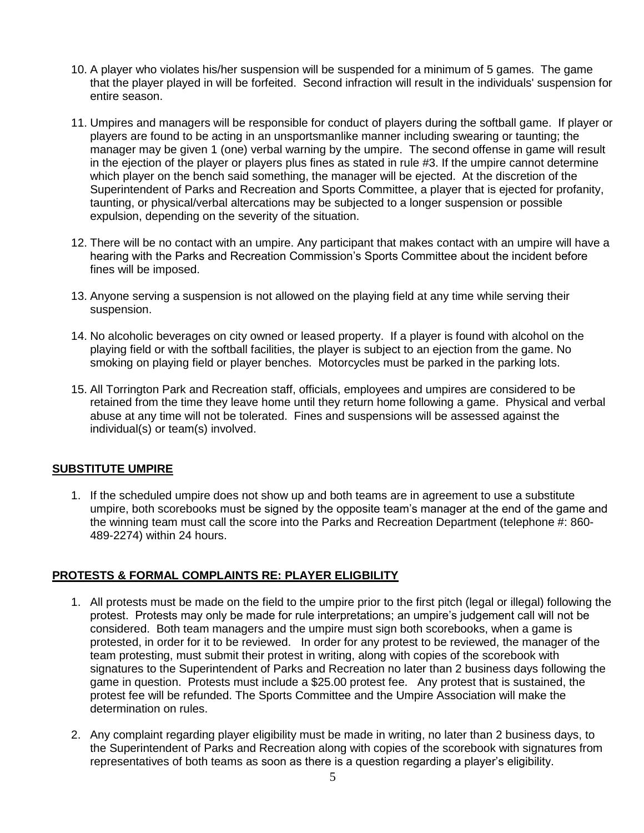- 10. A player who violates his/her suspension will be suspended for a minimum of 5 games. The game that the player played in will be forfeited. Second infraction will result in the individuals' suspension for entire season.
- 11. Umpires and managers will be responsible for conduct of players during the softball game. If player or players are found to be acting in an unsportsmanlike manner including swearing or taunting; the manager may be given 1 (one) verbal warning by the umpire. The second offense in game will result in the ejection of the player or players plus fines as stated in rule #3. If the umpire cannot determine which player on the bench said something, the manager will be ejected. At the discretion of the Superintendent of Parks and Recreation and Sports Committee, a player that is ejected for profanity, taunting, or physical/verbal altercations may be subjected to a longer suspension or possible expulsion, depending on the severity of the situation.
- 12. There will be no contact with an umpire. Any participant that makes contact with an umpire will have a hearing with the Parks and Recreation Commission's Sports Committee about the incident before fines will be imposed.
- 13. Anyone serving a suspension is not allowed on the playing field at any time while serving their suspension.
- 14. No alcoholic beverages on city owned or leased property. If a player is found with alcohol on the playing field or with the softball facilities, the player is subject to an ejection from the game. No smoking on playing field or player benches. Motorcycles must be parked in the parking lots.
- 15. All Torrington Park and Recreation staff, officials, employees and umpires are considered to be retained from the time they leave home until they return home following a game. Physical and verbal abuse at any time will not be tolerated. Fines and suspensions will be assessed against the individual(s) or team(s) involved.

# **SUBSTITUTE UMPIRE**

1. If the scheduled umpire does not show up and both teams are in agreement to use a substitute umpire, both scorebooks must be signed by the opposite team's manager at the end of the game and the winning team must call the score into the Parks and Recreation Department (telephone #: 860-489-2274) within 24 hours.

# **PROTESTS & FORMAL COMPLAINTS RE: PLAYER ELIGBILITY**

- 1. All protests must be made on the field to the umpire prior to the first pitch (legal or illegal) following the protest. Protests may only be made for rule interpretations; an umpire's judgement call will not be considered. Both team managers and the umpire must sign both scorebooks, when a game is protested, in order for it to be reviewed. In order for any protest to be reviewed, the manager of the team protesting, must submit their protest in writing, along with copies of the scorebook with signatures to the Superintendent of Parks and Recreation no later than 2 business days following the game in question. Protests must include a \$25.00 protest fee. Any protest that is sustained, the protest fee will be refunded. The Sports Committee and the Umpire Association will make the determination on rules.
- 2. Any complaint regarding player eligibility must be made in writing, no later than 2 business days, to the Superintendent of Parks and Recreation along with copies of the scorebook with signatures from representatives of both teams as soon as there is a question regarding a player's eligibility.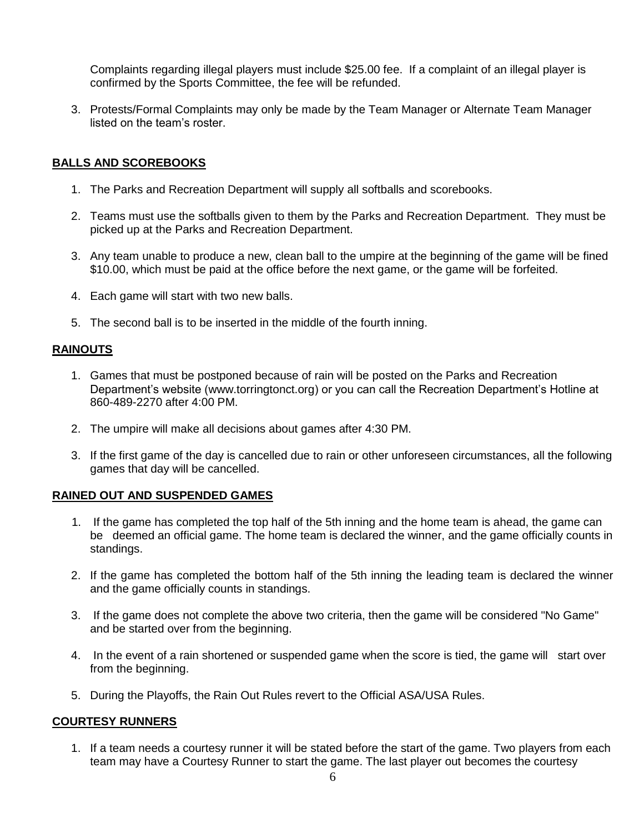Complaints regarding illegal players must include \$25.00 fee. If a complaint of an illegal player is confirmed by the Sports Committee, the fee will be refunded.

3. Protests/Formal Complaints may only be made by the Team Manager or Alternate Team Manager listed on the team's roster.

#### **BALLS AND SCOREBOOKS**

- 1. The Parks and Recreation Department will supply all softballs and scorebooks.
- 2. Teams must use the softballs given to them by the Parks and Recreation Department. They must be picked up at the Parks and Recreation Department.
- 3. Any team unable to produce a new, clean ball to the umpire at the beginning of the game will be fined \$10.00, which must be paid at the office before the next game, or the game will be forfeited.
- 4. Each game will start with two new balls.
- 5. The second ball is to be inserted in the middle of the fourth inning.

### **RAINOUTS**

- 1. Games that must be postponed because of rain will be posted on the Parks and Recreation Department's website [\(www.torringtonct.org\)](http://www.torringtonct.org/) or you can call the Recreation Department's Hotline at 860-489-2270 after 4:00 PM.
- 2. The umpire will make all decisions about games after 4:30 PM.
- 3. If the first game of the day is cancelled due to rain or other unforeseen circumstances, all the following games that day will be cancelled.

### **RAINED OUT AND SUSPENDED GAMES**

- 1. If the game has completed the top half of the 5th inning and the home team is ahead, the game can be deemed an official game. The home team is declared the winner, and the game officially counts in standings.
- 2. If the game has completed the bottom half of the 5th inning the leading team is declared the winner and the game officially counts in standings.
- 3. If the game does not complete the above two criteria, then the game will be considered "No Game" and be started over from the beginning.
- 4. In the event of a rain shortened or suspended game when the score is tied, the game will start over from the beginning.
- 5. During the Playoffs, the Rain Out Rules revert to the Official ASA/USA Rules.

### **COURTESY RUNNERS**

1. If a team needs a courtesy runner it will be stated before the start of the game. Two players from each team may have a Courtesy Runner to start the game. The last player out becomes the courtesy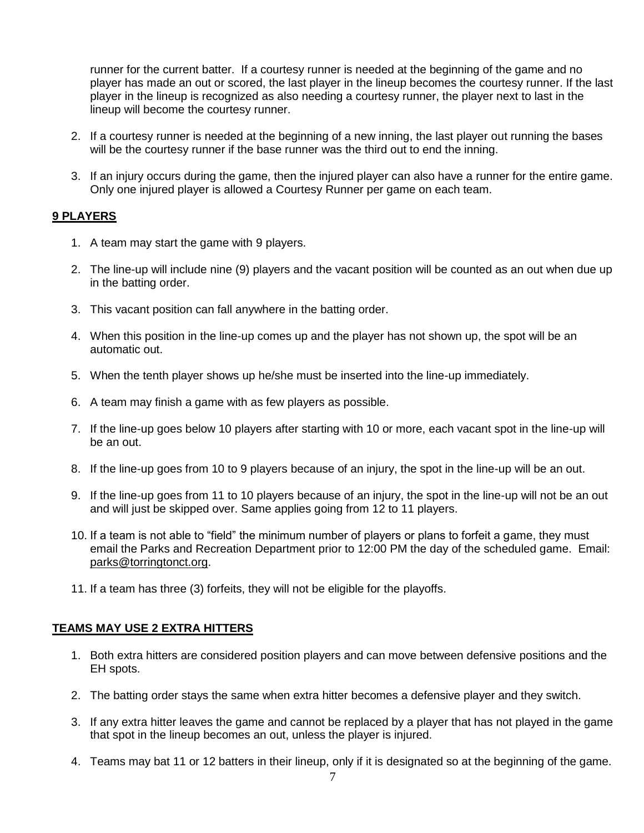runner for the current batter. If a courtesy runner is needed at the beginning of the game and no player has made an out or scored, the last player in the lineup becomes the courtesy runner. If the last player in the lineup is recognized as also needing a courtesy runner, the player next to last in the lineup will become the courtesy runner.

- 2. If a courtesy runner is needed at the beginning of a new inning, the last player out running the bases will be the courtesy runner if the base runner was the third out to end the inning.
- 3. If an injury occurs during the game, then the injured player can also have a runner for the entire game. Only one injured player is allowed a Courtesy Runner per game on each team.

## **9 PLAYERS**

- 1. A team may start the game with 9 players.
- 2. The line-up will include nine (9) players and the vacant position will be counted as an out when due up in the batting order.
- 3. This vacant position can fall anywhere in the batting order.
- 4. When this position in the line-up comes up and the player has not shown up, the spot will be an automatic out.
- 5. When the tenth player shows up he/she must be inserted into the line-up immediately.
- 6. A team may finish a game with as few players as possible.
- 7. If the line-up goes below 10 players after starting with 10 or more, each vacant spot in the line-up will be an out.
- 8. If the line-up goes from 10 to 9 players because of an injury, the spot in the line-up will be an out.
- 9. If the line-up goes from 11 to 10 players because of an injury, the spot in the line-up will not be an out and will just be skipped over. Same applies going from 12 to 11 players.
- 10. If a team is not able to "field" the minimum number of players or plans to forfeit a game, they must email the Parks and Recreation Department prior to 12:00 PM the day of the scheduled game. Email: [parks@torringtonct.org.](mailto:parks@torringtonct.org)
- 11. If a team has three (3) forfeits, they will not be eligible for the playoffs.

### **TEAMS MAY USE 2 EXTRA HITTERS**

- 1. Both extra hitters are considered position players and can move between defensive positions and the EH spots.
- 2. The batting order stays the same when extra hitter becomes a defensive player and they switch.
- 3. If any extra hitter leaves the game and cannot be replaced by a player that has not played in the game that spot in the lineup becomes an out, unless the player is injured.
- 4. Teams may bat 11 or 12 batters in their lineup, only if it is designated so at the beginning of the game.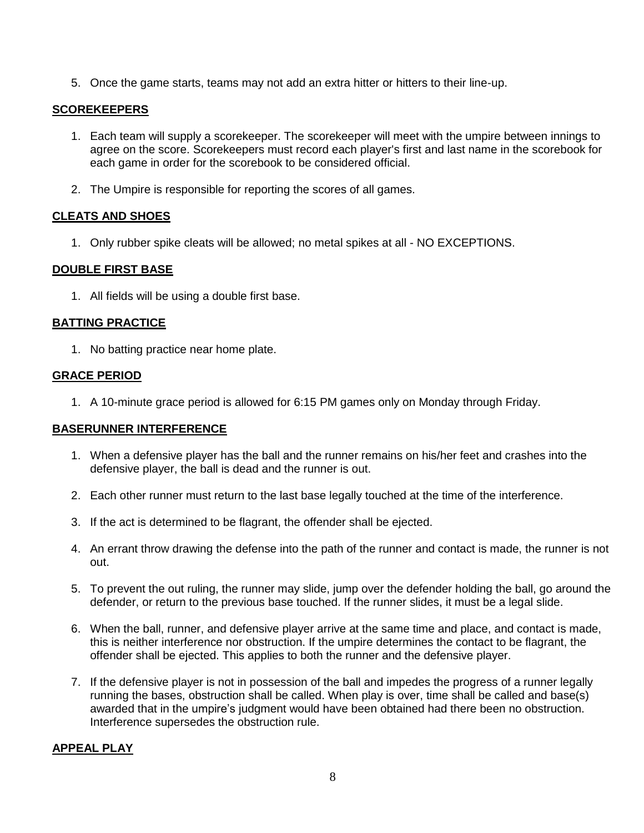5. Once the game starts, teams may not add an extra hitter or hitters to their line-up.

### **SCOREKEEPERS**

- 1. Each team will supply a scorekeeper. The scorekeeper will meet with the umpire between innings to agree on the score. Scorekeepers must record each player's first and last name in the scorebook for each game in order for the scorebook to be considered official.
- 2. The Umpire is responsible for reporting the scores of all games.

## **CLEATS AND SHOES**

1. Only rubber spike cleats will be allowed; no metal spikes at all - NO EXCEPTIONS.

## **DOUBLE FIRST BASE**

1. All fields will be using a double first base.

### **BATTING PRACTICE**

1. No batting practice near home plate.

### **GRACE PERIOD**

1. A 10-minute grace period is allowed for 6:15 PM games only on Monday through Friday.

### **BASERUNNER INTERFERENCE**

- 1. When a defensive player has the ball and the runner remains on his/her feet and crashes into the defensive player, the ball is dead and the runner is out.
- 2. Each other runner must return to the last base legally touched at the time of the interference.
- 3. If the act is determined to be flagrant, the offender shall be ejected.
- 4. An errant throw drawing the defense into the path of the runner and contact is made, the runner is not out.
- 5. To prevent the out ruling, the runner may slide, jump over the defender holding the ball, go around the defender, or return to the previous base touched. If the runner slides, it must be a legal slide.
- 6. When the ball, runner, and defensive player arrive at the same time and place, and contact is made, this is neither interference nor obstruction. If the umpire determines the contact to be flagrant, the offender shall be ejected. This applies to both the runner and the defensive player.
- 7. If the defensive player is not in possession of the ball and impedes the progress of a runner legally running the bases, obstruction shall be called. When play is over, time shall be called and base(s) awarded that in the umpire's judgment would have been obtained had there been no obstruction. Interference supersedes the obstruction rule.

### **APPEAL PLAY**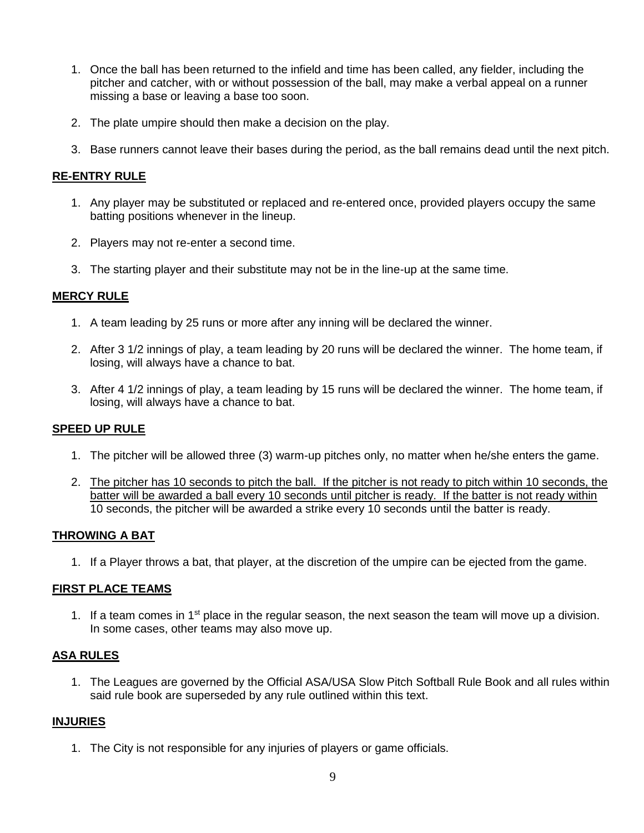- 1. Once the ball has been returned to the infield and time has been called, any fielder, including the pitcher and catcher, with or without possession of the ball, may make a verbal appeal on a runner missing a base or leaving a base too soon.
- 2. The plate umpire should then make a decision on the play.
- 3. Base runners cannot leave their bases during the period, as the ball remains dead until the next pitch.

### **RE-ENTRY RULE**

- 1. Any player may be substituted or replaced and re-entered once, provided players occupy the same batting positions whenever in the lineup.
- 2. Players may not re-enter a second time.
- 3. The starting player and their substitute may not be in the line-up at the same time.

#### **MERCY RULE**

- 1. A team leading by 25 runs or more after any inning will be declared the winner.
- 2. After 3 1/2 innings of play, a team leading by 20 runs will be declared the winner. The home team, if losing, will always have a chance to bat.
- 3. After 4 1/2 innings of play, a team leading by 15 runs will be declared the winner. The home team, if losing, will always have a chance to bat.

### **SPEED UP RULE**

- 1. The pitcher will be allowed three (3) warm-up pitches only, no matter when he/she enters the game.
- 2. The pitcher has 10 seconds to pitch the ball. If the pitcher is not ready to pitch within 10 seconds, the batter will be awarded a ball every 10 seconds until pitcher is ready. If the batter is not ready within 10 seconds, the pitcher will be awarded a strike every 10 seconds until the batter is ready.

### **THROWING A BAT**

1. If a Player throws a bat, that player, at the discretion of the umpire can be ejected from the game.

#### **FIRST PLACE TEAMS**

1. If a team comes in  $1<sup>st</sup>$  place in the regular season, the next season the team will move up a division. In some cases, other teams may also move up.

### **ASA RULES**

1. The Leagues are governed by the Official ASA/USA Slow Pitch Softball Rule Book and all rules within said rule book are superseded by any rule outlined within this text.

#### **INJURIES**

1. The City is not responsible for any injuries of players or game officials.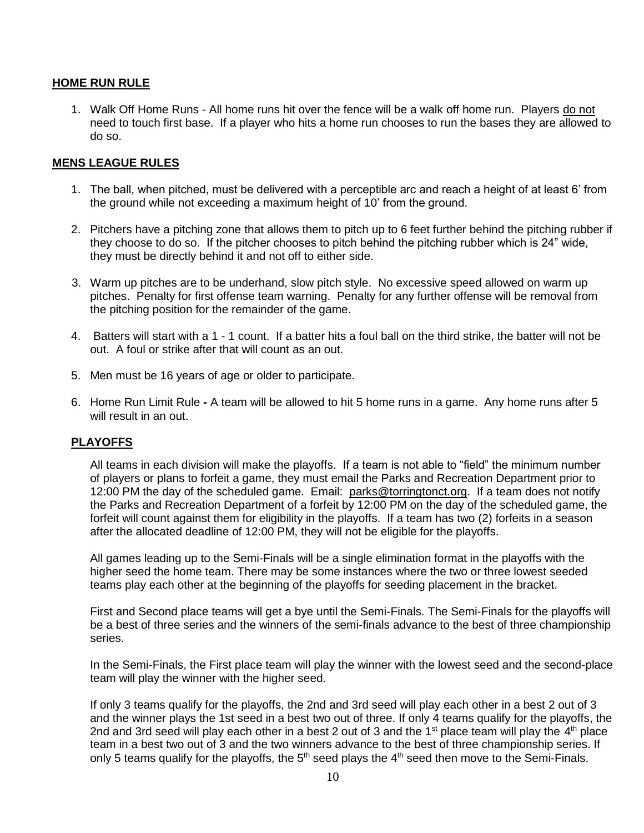## **HOME RUN RULE**

1. Walk Off Home Runs - All home runs hit over the fence will be a walk off home run. Players do not need to touch first base. If a player who hits a home run chooses to run the bases they are allowed to do so.

#### **MENS LEAGUE RULES**

- 1. The ball, when pitched, must be delivered with a perceptible arc and reach a height of at least 6' from the ground while not exceeding a maximum height of 10' from the ground.
- 2. Pitchers have a pitching zone that allows them to pitch up to 6 feet further behind the pitching rubber if they choose to do so. If the pitcher chooses to pitch behind the pitching rubber which is 24" wide, they must be directly behind it and not off to either side.
- 3. Warm up pitches are to be underhand, slow pitch style. No excessive speed allowed on warm up pitches. Penalty for first offense team warning. Penalty for any further offense will be removal from the pitching position for the remainder of the game.
- 4. Batters will start with a 1 1 count. If a batter hits a foul ball on the third strike, the batter will not be out. A foul or strike after that will count as an out.
- 5. Men must be 16 years of age or older to participate.
- 6. Home Run Limit Rule **-** A team will be allowed to hit 5 home runs in a game. Any home runs after 5 will result in an out.

### **PLAYOFFS**

All teams in each division will make the playoffs. If a team is not able to "field" the minimum number of players or plans to forfeit a game, they must email the Parks and Recreation Department prior to 12:00 PM the day of the scheduled game. Email: [parks@torringtonct.org.](mailto:parks@torringtonct.org) If a team does not notify the Parks and Recreation Department of a forfeit by 12:00 PM on the day of the scheduled game, the forfeit will count against them for eligibility in the playoffs. If a team has two (2) forfeits in a season after the allocated deadline of 12:00 PM, they will not be eligible for the playoffs.

All games leading up to the Semi-Finals will be a single elimination format in the playoffs with the higher seed the home team. There may be some instances where the two or three lowest seeded teams play each other at the beginning of the playoffs for seeding placement in the bracket.

First and Second place teams will get a bye until the Semi-Finals. The Semi-Finals for the playoffs will be a best of three series and the winners of the semi-finals advance to the best of three championship series.

In the Semi-Finals, the First place team will play the winner with the lowest seed and the second-place team will play the winner with the higher seed.

If only 3 teams qualify for the playoffs, the 2nd and 3rd seed will play each other in a best 2 out of 3 and the winner plays the 1st seed in a best two out of three. If only 4 teams qualify for the playoffs, the 2nd and 3rd seed will play each other in a best 2 out of 3 and the 1<sup>st</sup> place team will play the  $4<sup>th</sup>$  place team in a best two out of 3 and the two winners advance to the best of three championship series. If only 5 teams qualify for the playoffs, the  $5<sup>th</sup>$  seed plays the  $4<sup>th</sup>$  seed then move to the Semi-Finals.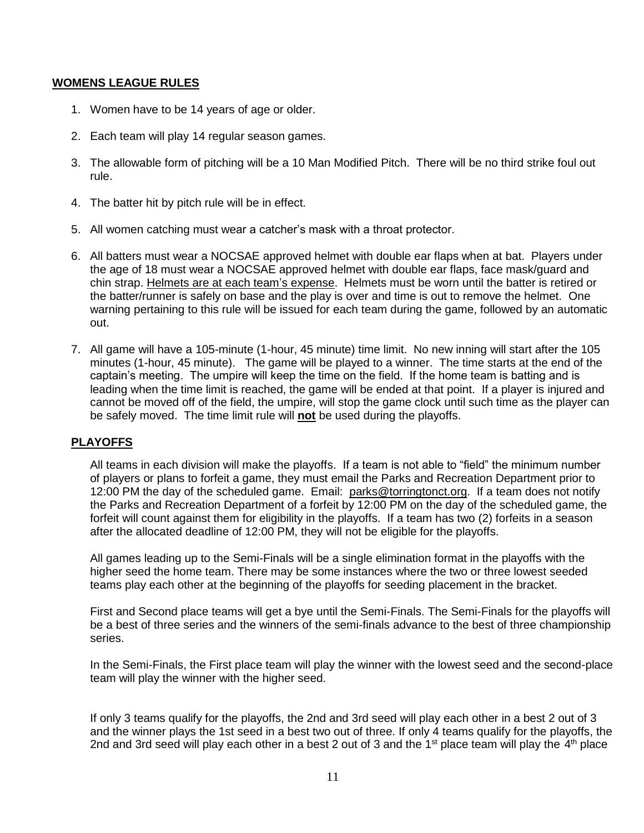#### **WOMENS LEAGUE RULES**

- 1. Women have to be 14 years of age or older.
- 2. Each team will play 14 regular season games.
- 3. The allowable form of pitching will be a 10 Man Modified Pitch. There will be no third strike foul out rule.
- 4. The batter hit by pitch rule will be in effect.
- 5. All women catching must wear a catcher's mask with a throat protector.
- 6. All batters must wear a NOCSAE approved helmet with double ear flaps when at bat. Players under the age of 18 must wear a NOCSAE approved helmet with double ear flaps, face mask/guard and chin strap. Helmets are at each team's expense. Helmets must be worn until the batter is retired or the batter/runner is safely on base and the play is over and time is out to remove the helmet. One warning pertaining to this rule will be issued for each team during the game, followed by an automatic out.
- 7. All game will have a 105-minute (1-hour, 45 minute) time limit. No new inning will start after the 105 minutes (1-hour, 45 minute). The game will be played to a winner. The time starts at the end of the captain's meeting. The umpire will keep the time on the field. If the home team is batting and is leading when the time limit is reached, the game will be ended at that point. If a player is injured and cannot be moved off of the field, the umpire, will stop the game clock until such time as the player can be safely moved. The time limit rule will **not** be used during the playoffs.

### **PLAYOFFS**

All teams in each division will make the playoffs. If a team is not able to "field" the minimum number of players or plans to forfeit a game, they must email the Parks and Recreation Department prior to 12:00 PM the day of the scheduled game. Email: [parks@torringtonct.org.](mailto:parks@torringtonct.org) If a team does not notify the Parks and Recreation Department of a forfeit by 12:00 PM on the day of the scheduled game, the forfeit will count against them for eligibility in the playoffs. If a team has two (2) forfeits in a season after the allocated deadline of 12:00 PM, they will not be eligible for the playoffs.

All games leading up to the Semi-Finals will be a single elimination format in the playoffs with the higher seed the home team. There may be some instances where the two or three lowest seeded teams play each other at the beginning of the playoffs for seeding placement in the bracket.

First and Second place teams will get a bye until the Semi-Finals. The Semi-Finals for the playoffs will be a best of three series and the winners of the semi-finals advance to the best of three championship series.

In the Semi-Finals, the First place team will play the winner with the lowest seed and the second-place team will play the winner with the higher seed.

If only 3 teams qualify for the playoffs, the 2nd and 3rd seed will play each other in a best 2 out of 3 and the winner plays the 1st seed in a best two out of three. If only 4 teams qualify for the playoffs, the 2nd and 3rd seed will play each other in a best 2 out of 3 and the 1<sup>st</sup> place team will play the  $4<sup>th</sup>$  place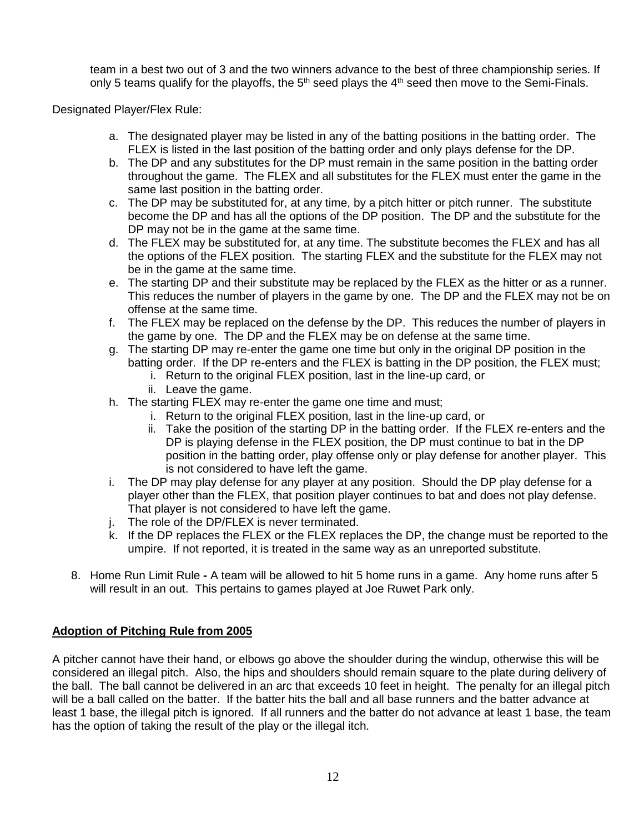team in a best two out of 3 and the two winners advance to the best of three championship series. If only 5 teams qualify for the playoffs, the  $5<sup>th</sup>$  seed plays the  $4<sup>th</sup>$  seed then move to the Semi-Finals.

Designated Player/Flex Rule:

- a. The designated player may be listed in any of the batting positions in the batting order. The FLEX is listed in the last position of the batting order and only plays defense for the DP.
- b. The DP and any substitutes for the DP must remain in the same position in the batting order throughout the game. The FLEX and all substitutes for the FLEX must enter the game in the same last position in the batting order.
- c. The DP may be substituted for, at any time, by a pitch hitter or pitch runner. The substitute become the DP and has all the options of the DP position. The DP and the substitute for the DP may not be in the game at the same time.
- d. The FLEX may be substituted for, at any time. The substitute becomes the FLEX and has all the options of the FLEX position. The starting FLEX and the substitute for the FLEX may not be in the game at the same time.
- e. The starting DP and their substitute may be replaced by the FLEX as the hitter or as a runner. This reduces the number of players in the game by one. The DP and the FLEX may not be on offense at the same time.
- f. The FLEX may be replaced on the defense by the DP. This reduces the number of players in the game by one. The DP and the FLEX may be on defense at the same time.
- g. The starting DP may re-enter the game one time but only in the original DP position in the batting order. If the DP re-enters and the FLEX is batting in the DP position, the FLEX must;
	- i. Return to the original FLEX position, last in the line-up card, or
	- ii. Leave the game.
- h. The starting FLEX may re-enter the game one time and must;
	- i. Return to the original FLEX position, last in the line-up card, or
	- ii. Take the position of the starting DP in the batting order. If the FLEX re-enters and the DP is playing defense in the FLEX position, the DP must continue to bat in the DP position in the batting order, play offense only or play defense for another player. This is not considered to have left the game.
- i. The DP may play defense for any player at any position. Should the DP play defense for a player other than the FLEX, that position player continues to bat and does not play defense. That player is not considered to have left the game.
- j. The role of the DP/FLEX is never terminated.
- k. If the DP replaces the FLEX or the FLEX replaces the DP, the change must be reported to the umpire. If not reported, it is treated in the same way as an unreported substitute.
- 8. Home Run Limit Rule **-** A team will be allowed to hit 5 home runs in a game. Any home runs after 5 will result in an out. This pertains to games played at Joe Ruwet Park only.

# **Adoption of Pitching Rule from 2005**

A pitcher cannot have their hand, or elbows go above the shoulder during the windup, otherwise this will be considered an illegal pitch. Also, the hips and shoulders should remain square to the plate during delivery of the ball. The ball cannot be delivered in an arc that exceeds 10 feet in height. The penalty for an illegal pitch will be a ball called on the batter. If the batter hits the ball and all base runners and the batter advance at least 1 base, the illegal pitch is ignored. If all runners and the batter do not advance at least 1 base, the team has the option of taking the result of the play or the illegal itch.